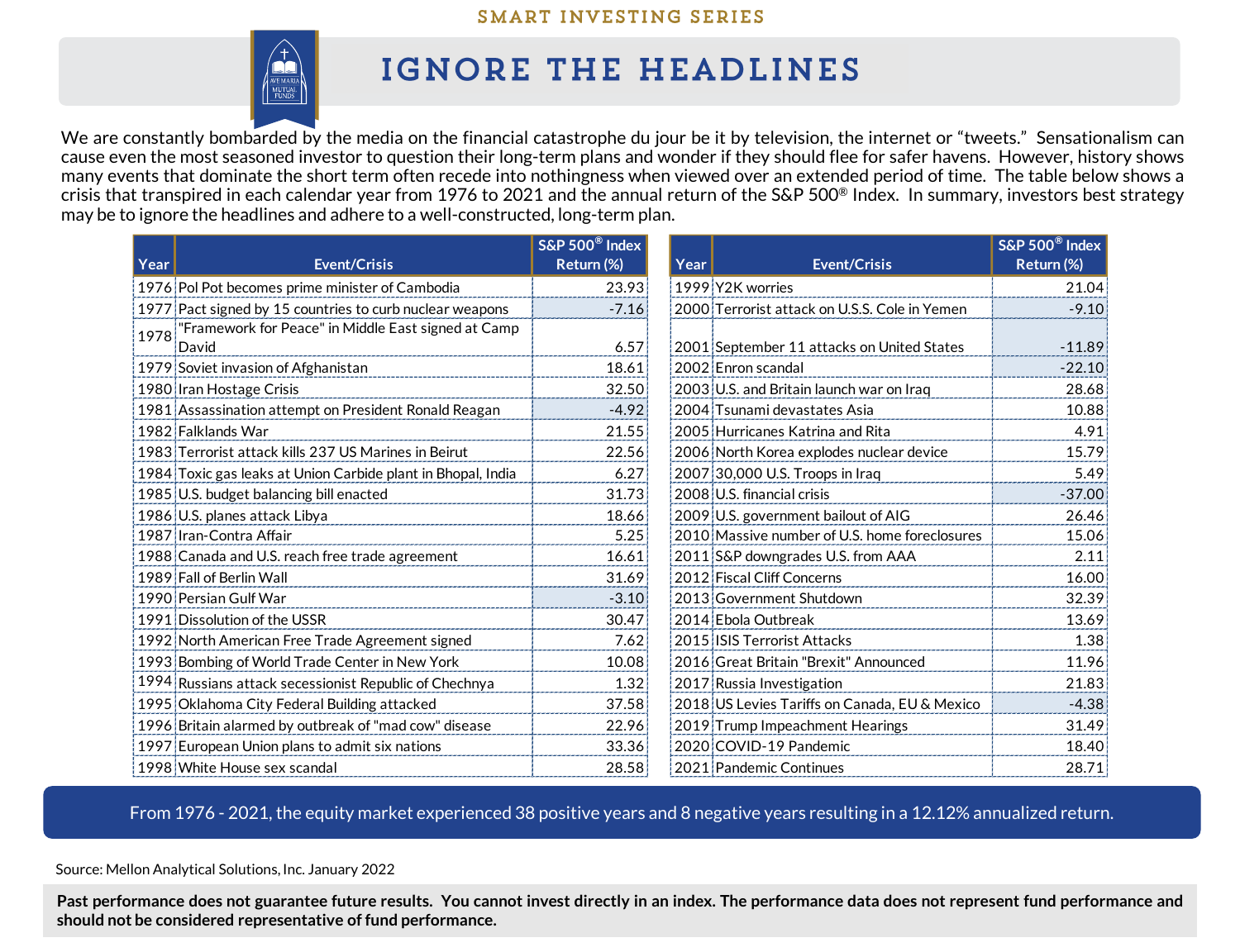## SMART INVESTING SERIES



## IGNORE THE HEADLINES

We are constantly bombarded by the media on the financial catastrophe du jour be it by television, the internet or "tweets." Sensationalism can cause even the most seasoned investor to question their long-term plans and wonder if they should flee for safer havens. However, history shows many events that dominate the short term often recede into nothingness when viewed over an extended period of time. The table below shows a crisis that transpired in each calendar year from 1976 to 2021 and the annual return of the S&P 500® Index. In summary, investors best strategy may be to ignore the headlines and adhere to a well-constructed, long-term plan.

|      |                                                              | S&P 500 <sup>®</sup> Index |      |                                               | S&P 500 <sup>®</sup> Index |
|------|--------------------------------------------------------------|----------------------------|------|-----------------------------------------------|----------------------------|
| Year | <b>Event/Crisis</b>                                          | Return (%)                 | Year | <b>Event/Crisis</b>                           | Return (%)                 |
|      | 1976 Pol Pot becomes prime minister of Cambodia              | 23.93                      |      | 1999 Y2K worries                              | 21.04                      |
|      | 1977 Pact signed by 15 countries to curb nuclear weapons     | $-7.16$                    |      | 2000 Terrorist attack on U.S.S. Cole in Yemen | $-9.10$                    |
| 1978 | "Framework for Peace" in Middle East signed at Camp<br>David | 6.57                       |      | 2001 September 11 attacks on United States    | $-11.89$                   |
|      | 1979 Soviet invasion of Afghanistan                          | 18.61                      |      | 2002 Enron scandal                            | $-22.10$                   |
|      | 1980 Iran Hostage Crisis                                     | 32.50                      |      | 2003 U.S. and Britain launch war on Iraq      | 28.68                      |
|      | 1981 Assassination attempt on President Ronald Reagan        | $-4.92$                    |      | 2004 Tsunami devastates Asia                  | 10.88                      |
|      | 1982 Falklands War                                           | 21.55                      |      | 2005 Hurricanes Katrina and Rita              | 4.91                       |
|      | 1983 Terrorist attack kills 237 US Marines in Beirut         | 22.56                      |      | 2006 North Korea explodes nuclear device      | 15.79                      |
|      | 1984 Toxic gas leaks at Union Carbide plant in Bhopal, India | 6.27                       |      | 2007 30,000 U.S. Troops in Iraq               | 5.49                       |
|      | 1985 U.S. budget balancing bill enacted                      | 31.73                      |      | 2008 U.S. financial crisis                    | $-37.00$                   |
|      | 1986 U.S. planes attack Libya                                | 18.66                      |      | 2009 U.S. government bailout of AIG           | 26.46                      |
|      | 1987 Iran-Contra Affair                                      | 5.25                       |      | 2010 Massive number of U.S. home foreclosures | 15.06                      |
|      | 1988 Canada and U.S. reach free trade agreement              | 16.61                      |      | 2011 S&P downgrades U.S. from AAA             | 2.11                       |
|      | 1989 Fall of Berlin Wall                                     | 31.69                      |      | 2012 Fiscal Cliff Concerns                    | 16.00                      |
|      | 1990 Persian Gulf War                                        | $-3.10$                    |      | 2013 Government Shutdown                      | 32.39                      |
|      | 1991 Dissolution of the USSR                                 | 30.47                      |      | 2014 Ebola Outbreak                           | 13.69                      |
|      | 1992 North American Free Trade Agreement signed              | 7.62                       |      | 2015 ISIS Terrorist Attacks                   | 1.38                       |
|      | 1993 Bombing of World Trade Center in New York               | 10.08                      |      | 2016 Great Britain "Brexit" Announced         | 11.96                      |
|      | 1994 Russians attack secessionist Republic of Chechnya       | 1.32                       |      | 2017 Russia Investigation                     | 21.83                      |
|      | 1995 Oklahoma City Federal Building attacked                 | 37.58                      |      | 2018 US Levies Tariffs on Canada, EU & Mexico | $-4.38$                    |
|      | 1996 Britain alarmed by outbreak of "mad cow" disease        | 22.96                      |      | 2019 Trump Impeachment Hearings               | 31.49                      |
|      | 1997 European Union plans to admit six nations               | 33.36                      |      | 2020 COVID-19 Pandemic                        | 18.40                      |
|      | 1998 White House sex scandal                                 | 28.58                      |      | 2021 Pandemic Continues                       | 28.71                      |

From 1976 - 2021, the equity market experienced 38 positive years and 8 negative years resulting in a 12.12% annualized return.

Source: Mellon Analytical Solutions, Inc. January 2022

Past performance does not guarantee future results. You cannot invest directly in an index. The performance data does not represent fund performance and **should not be considered representative of fund performance.**